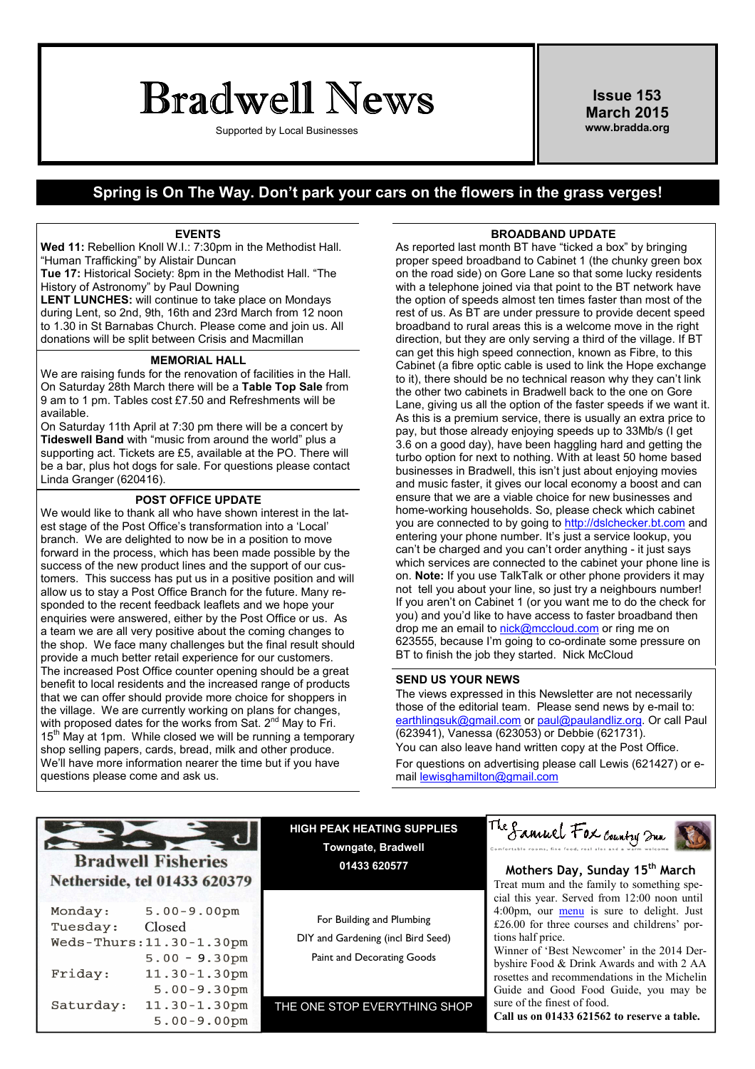# Bradwell News

Supported by Local Businesses

Issue 153 March 2015 www.bradda.org

### Spring is On The Way. Don't park your cars on the flowers in the grass verges!

#### EVENTS

Wed 11: Rebellion Knoll W.I.: 7:30pm in the Methodist Hall. "Human Trafficking" by Alistair Duncan

Tue 17: Historical Society: 8pm in the Methodist Hall. "The History of Astronomy" by Paul Downing

LENT LUNCHES: will continue to take place on Mondays during Lent, so 2nd, 9th, 16th and 23rd March from 12 noon to 1.30 in St Barnabas Church. Please come and join us. All donations will be split between Crisis and Macmillan

### MEMORIAL HALL

We are raising funds for the renovation of facilities in the Hall. On Saturday 28th March there will be a Table Top Sale from 9 am to 1 pm. Tables cost £7.50 and Refreshments will be available.

On Saturday 11th April at 7:30 pm there will be a concert by Tideswell Band with "music from around the world" plus a supporting act. Tickets are £5, available at the PO. There will be a bar, plus hot dogs for sale. For questions please contact Linda Granger (620416).

### POST OFFICE UPDATE

We would like to thank all who have shown interest in the latest stage of the Post Office's transformation into a 'Local' branch. We are delighted to now be in a position to move forward in the process, which has been made possible by the success of the new product lines and the support of our customers. This success has put us in a positive position and will allow us to stay a Post Office Branch for the future. Many responded to the recent feedback leaflets and we hope your enquiries were answered, either by the Post Office or us. As a team we are all very positive about the coming changes to the shop. We face many challenges but the final result should provide a much better retail experience for our customers. The increased Post Office counter opening should be a great benefit to local residents and the increased range of products that we can offer should provide more choice for shoppers in the village. We are currently working on plans for changes, with proposed dates for the works from Sat. 2<sup>nd</sup> May to Fri.  $15<sup>th</sup>$  May at 1pm. While closed we will be running a temporary shop selling papers, cards, bread, milk and other produce. We'll have more information nearer the time but if you have questions please come and ask us.

### BROADBAND UPDATE

As reported last month BT have "ticked a box" by bringing proper speed broadband to Cabinet 1 (the chunky green box on the road side) on Gore Lane so that some lucky residents with a telephone joined via that point to the BT network have the option of speeds almost ten times faster than most of the rest of us. As BT are under pressure to provide decent speed broadband to rural areas this is a welcome move in the right direction, but they are only serving a third of the village. If BT can get this high speed connection, known as Fibre, to this Cabinet (a fibre optic cable is used to link the Hope exchange to it), there should be no technical reason why they can't link the other two cabinets in Bradwell back to the one on Gore Lane, giving us all the option of the faster speeds if we want it. As this is a premium service, there is usually an extra price to pay, but those already enjoying speeds up to 33Mb/s (I get 3.6 on a good day), have been haggling hard and getting the turbo option for next to nothing. With at least 50 home based businesses in Bradwell, this isn't just about enjoying movies and music faster, it gives our local economy a boost and can ensure that we are a viable choice for new businesses and home-working households. So, please check which cabinet you are connected to by going to http://dslchecker.bt.com and entering your phone number. It's just a service lookup, you can't be charged and you can't order anything - it just says which services are connected to the cabinet your phone line is on. Note: If you use TalkTalk or other phone providers it may not tell you about your line, so just try a neighbours number! If you aren't on Cabinet 1 (or you want me to do the check for you) and you'd like to have access to faster broadband then drop me an email to nick@mccloud.com or ring me on 623555, because I'm going to co-ordinate some pressure on BT to finish the job they started. Nick McCloud

#### SEND US YOUR NEWS

The views expressed in this Newsletter are not necessarily those of the editorial team. Please send news by e-mail to: earthlingsuk@gmail.com or paul@paulandliz.org. Or call Paul (623941), Vanessa (623053) or Debbie (621731). You can also leave hand written copy at the Post Office. For questions on advertising please call Lewis (621427) or email lewisghamilton@gmail.com

### **Bradwell Fisheries** Netherside, tel 01433 620379

| Monday:   | $5.00 - 9.00$ pm            |
|-----------|-----------------------------|
| Tuesday:  | Closed                      |
|           | $Weds$ -Thurs: 11.30-1.30pm |
|           | $5.00 - 9.30$ pm            |
| Friday:   | $11.30 - 1.30$ pm           |
|           | $5.00 - 9.30$ pm            |
| Saturday: | $11.30 - 1.30$ pm           |
|           | $5.00 - 9.00$ pm            |

HIGH PEAK HEATING SUPPLIES Towngate, Bradwell 01433 620577

For Building and Plumbing DIY and Gardening (incl Bird Seed) Paint and Decorating Goods

THE ONE STOP EVERYTHING SHOP



### Mothers Day, Sunday 15<sup>th</sup> March Treat mum and the family to something special this year. Served from 12:00 noon until 4:00pm, our menu is sure to delight. Just £26.00 for three courses and childrens' portions half price.

Winner of 'Best Newcomer' in the 2014 Derbyshire Food & Drink Awards and with 2 AA rosettes and recommendations in the Michelin Guide and Good Food Guide, you may be sure of the finest of food.

Call us on 01433 621562 to reserve a table.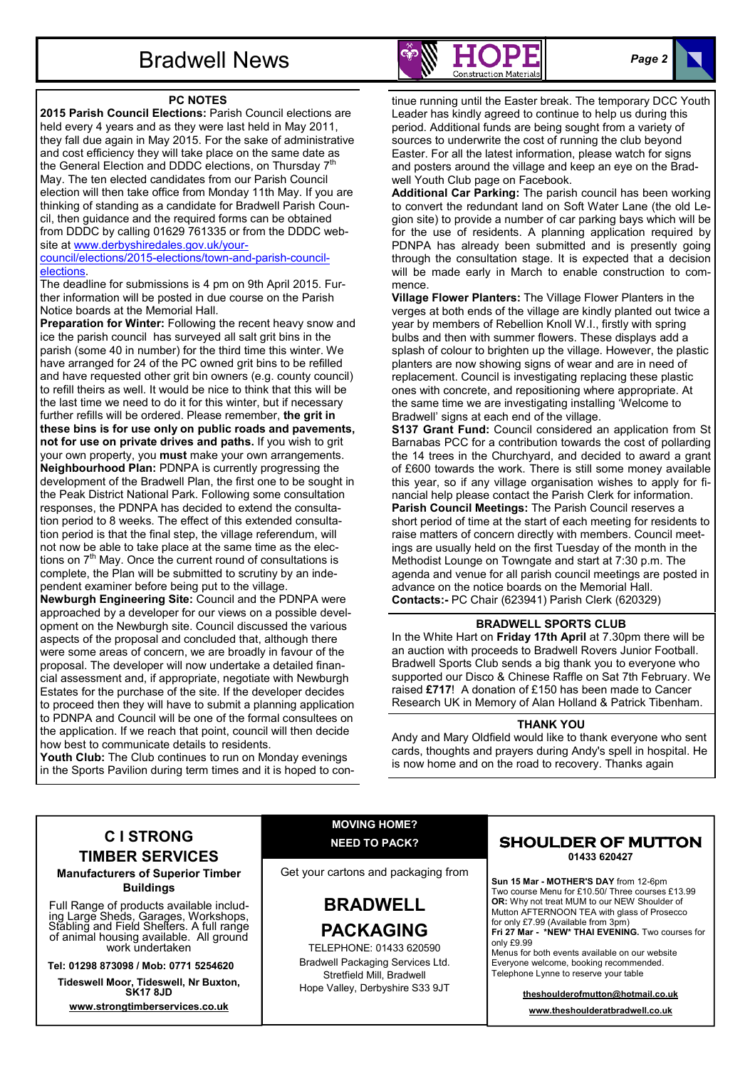## Bradwell News

### PC NOTES

2015 Parish Council Elections: Parish Council elections are held every 4 years and as they were last held in May 2011, they fall due again in May 2015. For the sake of administrative and cost efficiency they will take place on the same date as the General Election and DDDC elections, on Thursday  $7<sup>th</sup>$ May. The ten elected candidates from our Parish Council election will then take office from Monday 11th May. If you are thinking of standing as a candidate for Bradwell Parish Council, then guidance and the required forms can be obtained from DDDC by calling 01629 761335 or from the DDDC website at www.derbyshiredales.gov.uk/yourcouncil/elections/2015-elections/town-and-parish-council-

#### elections.

The deadline for submissions is 4 pm on 9th April 2015. Further information will be posted in due course on the Parish Notice boards at the Memorial Hall.

Preparation for Winter: Following the recent heavy snow and ice the parish council has surveyed all salt grit bins in the parish (some 40 in number) for the third time this winter. We have arranged for 24 of the PC owned grit bins to be refilled and have requested other grit bin owners (e.g. county council) to refill theirs as well. It would be nice to think that this will be the last time we need to do it for this winter, but if necessary further refills will be ordered. Please remember, the grit in these bins is for use only on public roads and pavements, not for use on private drives and paths. If you wish to grit your own property, you must make your own arrangements. Neighbourhood Plan: PDNPA is currently progressing the development of the Bradwell Plan, the first one to be sought in the Peak District National Park. Following some consultation responses, the PDNPA has decided to extend the consultation period to 8 weeks. The effect of this extended consultation period is that the final step, the village referendum, will not now be able to take place at the same time as the elections on  $7<sup>th</sup>$  May. Once the current round of consultations is complete, the Plan will be submitted to scrutiny by an independent examiner before being put to the village. Newburgh Engineering Site: Council and the PDNPA were

approached by a developer for our views on a possible development on the Newburgh site. Council discussed the various aspects of the proposal and concluded that, although there were some areas of concern, we are broadly in favour of the proposal. The developer will now undertake a detailed financial assessment and, if appropriate, negotiate with Newburgh Estates for the purchase of the site. If the developer decides to proceed then they will have to submit a planning application to PDNPA and Council will be one of the formal consultees on the application. If we reach that point, council will then decide how best to communicate details to residents.

Youth Club: The Club continues to run on Monday evenings in the Sports Pavilion during term times and it is hoped to con-



tinue running until the Easter break. The temporary DCC Youth Leader has kindly agreed to continue to help us during this period. Additional funds are being sought from a variety of sources to underwrite the cost of running the club beyond Easter. For all the latest information, please watch for signs and posters around the village and keep an eye on the Bradwell Youth Club page on Facebook.

Additional Car Parking: The parish council has been working to convert the redundant land on Soft Water Lane (the old Legion site) to provide a number of car parking bays which will be for the use of residents. A planning application required by PDNPA has already been submitted and is presently going through the consultation stage. It is expected that a decision will be made early in March to enable construction to commence.

Village Flower Planters: The Village Flower Planters in the verges at both ends of the village are kindly planted out twice a year by members of Rebellion Knoll W.I., firstly with spring bulbs and then with summer flowers. These displays add a splash of colour to brighten up the village. However, the plastic planters are now showing signs of wear and are in need of replacement. Council is investigating replacing these plastic ones with concrete, and repositioning where appropriate. At the same time we are investigating installing 'Welcome to Bradwell' signs at each end of the village.

S137 Grant Fund: Council considered an application from St Barnabas PCC for a contribution towards the cost of pollarding the 14 trees in the Churchyard, and decided to award a grant of £600 towards the work. There is still some money available this year, so if any village organisation wishes to apply for financial help please contact the Parish Clerk for information. Parish Council Meetings: The Parish Council reserves a short period of time at the start of each meeting for residents to raise matters of concern directly with members. Council meetings are usually held on the first Tuesday of the month in the Methodist Lounge on Towngate and start at 7:30 p.m. The agenda and venue for all parish council meetings are posted in

advance on the notice boards on the Memorial Hall. Contacts:- PC Chair (623941) Parish Clerk (620329)

### BRADWELL SPORTS CLUB

In the White Hart on Friday 17th April at 7.30pm there will be an auction with proceeds to Bradwell Rovers Junior Football. Bradwell Sports Club sends a big thank you to everyone who supported our Disco & Chinese Raffle on Sat 7th February. We raised £717! A donation of £150 has been made to Cancer Research UK in Memory of Alan Holland & Patrick Tibenham.

### THANK YOU

Andy and Mary Oldfield would like to thank everyone who sent cards, thoughts and prayers during Andy's spell in hospital. He is now home and on the road to recovery. Thanks again

### C I STRONG TIMBER SERVICES

Manufacturers of Superior Timber **Buildings** 

Full Range of products available including Large Sheds, Garages, Workshops, Stabling and Field Shelters. A full range of animal housing available. All ground work undertaken

Tel: 01298 873098 / Mob: 0771 5254620

Tideswell Moor, Tideswell, Nr Buxton, SK17 8JD

www.strongtimberservices.co.uk

### MOVING HOME? NEED TO PACK?

Get your cartons and packaging from

### BRADWELL PACKAGING

TELEPHONE: 01433 620590 Bradwell Packaging Services Ltd. Stretfield Mill, Bradwell Hope Valley, Derbyshire S33 9JT

### **SHOULDER OF MUTTON** 01433 620427

Sun 15 Mar - MOTHER'S DAY from 12-6pm Two course Menu for £10.50/ Three courses £13.99 OR: Why not treat MUM to our NEW Shoulder of Mutton AFTERNOON TEA with glass of Prosecco for only £7.99 (Available from 3pm)

Fri 27 Mar - \*NEW\* THAI EVENING. Two courses for only £9.99

Menus for both events available on our website Everyone welcome, booking recommended. Telephone Lynne to reserve your table

> theshoulderofmutton@hotmail.co.uk www.theshoulderatbradwell.co.uk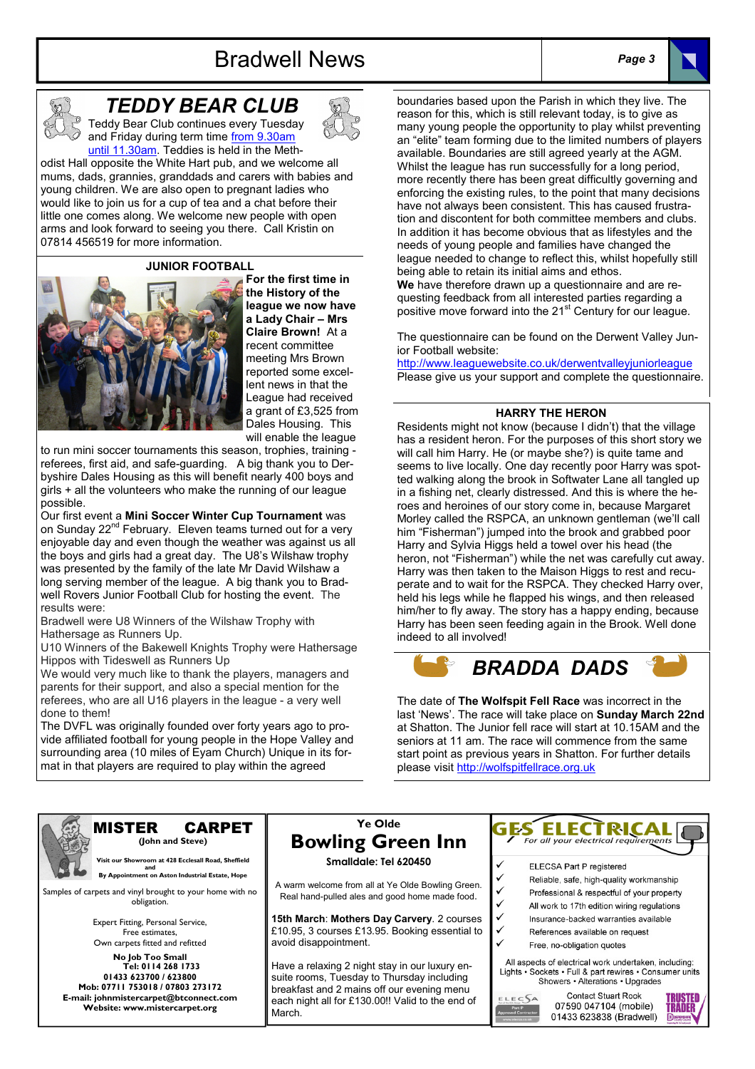### Bradwell News Page 3





### TEDDY BEAR CLUB

Teddy Bear Club continues every Tuesday and Friday during term time from 9.30am until 11.30am. Teddies is held in the Meth-

odist Hall opposite the White Hart pub, and we welcome all mums, dads, grannies, granddads and carers with babies and young children. We are also open to pregnant ladies who would like to join us for a cup of tea and a chat before their little one comes along. We welcome new people with open arms and look forward to seeing you there. Call Kristin on 07814 456519 for more information.

JUNIOR FOOTBALL



For the first time in the History of the league we now have a Lady Chair – Mrs Claire Brown! At a recent committee meeting Mrs Brown reported some excellent news in that the League had received a grant of £3,525 from Dales Housing. This will enable the league

to run mini soccer tournaments this season, trophies, training referees, first aid, and safe-guarding. A big thank you to Derbyshire Dales Housing as this will benefit nearly 400 boys and girls + all the volunteers who make the running of our league possible.

Our first event a Mini Soccer Winter Cup Tournament was on Sunday 22<sup>nd</sup> February. Eleven teams turned out for a very enjoyable day and even though the weather was against us all the boys and girls had a great day. The U8's Wilshaw trophy was presented by the family of the late Mr David Wilshaw a long serving member of the league. A big thank you to Bradwell Rovers Junior Football Club for hosting the event. The results were:

Bradwell were U8 Winners of the Wilshaw Trophy with Hathersage as Runners Up.

U10 Winners of the Bakewell Knights Trophy were Hathersage Hippos with Tideswell as Runners Up

We would very much like to thank the players, managers and parents for their support, and also a special mention for the referees, who are all U16 players in the league - a very well done to them!

The DVFL was originally founded over forty years ago to provide affiliated football for young people in the Hope Valley and surrounding area (10 miles of Eyam Church) Unique in its format in that players are required to play within the agreed

boundaries based upon the Parish in which they live. The reason for this, which is still relevant today, is to give as many young people the opportunity to play whilst preventing an "elite" team forming due to the limited numbers of players available. Boundaries are still agreed yearly at the AGM. Whilst the league has run successfully for a long period, more recently there has been great difficultly governing and enforcing the existing rules, to the point that many decisions have not always been consistent. This has caused frustration and discontent for both committee members and clubs. In addition it has become obvious that as lifestyles and the needs of young people and families have changed the league needed to change to reflect this, whilst hopefully still being able to retain its initial aims and ethos. We have therefore drawn up a questionnaire and are requesting feedback from all interested parties regarding a

positive move forward into the 21<sup>st</sup> Century for our league.

The questionnaire can be found on the Derwent Valley Junior Football website:

http://www.leaguewebsite.co.uk/derwentvalleyjuniorleague Please give us your support and complete the questionnaire.

### HARRY THE HERON

Residents might not know (because I didn't) that the village has a resident heron. For the purposes of this short story we will call him Harry. He (or maybe she?) is quite tame and seems to live locally. One day recently poor Harry was spotted walking along the brook in Softwater Lane all tangled up in a fishing net, clearly distressed. And this is where the heroes and heroines of our story come in, because Margaret Morley called the RSPCA, an unknown gentleman (we'll call him "Fisherman") jumped into the brook and grabbed poor Harry and Sylvia Higgs held a towel over his head (the heron, not "Fisherman") while the net was carefully cut away. Harry was then taken to the Maison Higgs to rest and recuperate and to wait for the RSPCA. They checked Harry over, held his legs while he flapped his wings, and then released him/her to fly away. The story has a happy ending, because Harry has been seen feeding again in the Brook. Well done indeed to all involved!



The date of The Wolfspit Fell Race was incorrect in the last 'News'. The race will take place on Sunday March 22nd at Shatton. The Junior fell race will start at 10.15AM and the seniors at 11 am. The race will commence from the same start point as previous years in Shatton. For further details please visit http://wolfspitfellrace.org.uk



#### MISTER CARPET (John and Steve)

 Visit our Showroom at 428 Ecclesall Road, Sheffield and By Appointment on Aston Industrial Estate, Hope

Samples of carpets and vinyl brought to your home with no obligation.

> Expert Fitting, Personal Service, Free estimates, Own carpets fitted and refitted

No Job Too Small Tel: 0114 268 1733 01433 623700 / 623800 Mob: 07711 753018 / 07803 273172 E-mail: johnmistercarpet@btconnect.com Website: www.mistercarpet.org

### Ye Olde Bowling Green Inn Smalldale: Tel 620450

A warm welcome from all at Ye Olde Bowling Green. Real hand-pulled ales and good home made food.

15th March: Mothers Day Carvery. 2 courses £10.95, 3 courses £13.95. Booking essential to avoid disappointment.

Have a relaxing 2 night stay in our luxury ensuite rooms, Tuesday to Thursday including breakfast and 2 mains off our evening menu each night all for £130.00!! Valid to the end of **March** 



- ELECSA Part P registered
- Reliable, safe, high-quality workmanship
- Professional & respectful of your property
- All work to 17th edition wiring regulations
- Insurance-backed warranties available References available on request
- Free, no-obligation guotes

All aspects of electrical work undertaken, including: Lights · Sockets · Full & part rewires · Consumer units Showers • Alterations • Upgrades

ELECSA



**Contact Stuart Rook** 07590 047104 (mobile) 01433 623838 (Bradwell)